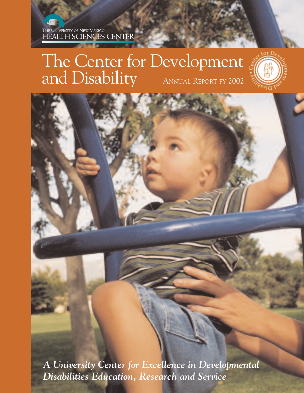# The Center for Development and Disability ANNUAL REPORT FY 2002



*A University Center for Excellence in Developmental Disabilities Education, Research and Service*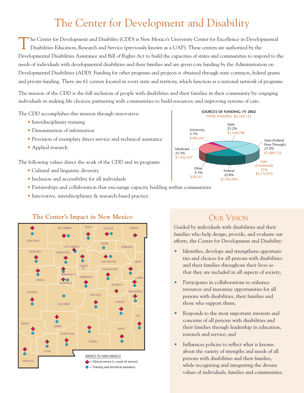## The Center for Development and Disability

The Center for Development and Disability (CDD) is New Mexico's University Center for Excellence in Developmental Disabilities Education, Research and Service (previously known as a UAP). These centers are authorized by the Developmental Disabilities Assistance and Bill of Rights Act to build the capacities of states and communities to respond to the needs of individuals with developmental disabilities and their families and are given core funding by the Administration on Developmental Disabilities (ADD). Funding for other programs and projects is obtained through state contracts, federal grants and private funding. There are 61 centers located in every state and territory, which function as a national network of programs.

The mission of the CDD is the full inclusion of people with disabilities and their families in their community by: engaging individuals in making life choices; partnering with communities to build resources; and improving systems of care.

The CDD accomplishes this mission through innovative:

- Interdisciplinary training
- Dissemination of information
- Provision of exemplary direct service and technical assistance
- Applied research

The following values direct the work of the CDD and its programs:

- Cultural and linguistic diversity
- Inclusion and accessibility for all individuals
- Partnerships and collaboration that encourage capacity building within communities
- Innovative, interdisciplinary & research-based practice



#### **The Center's Impact in New Mexico CUR VISION**

#### **SOURCES OF FUNDING: FY 2002** TOTAL FUNDING: \$6,160,133 State 23.2% \$1,426,786 State (Federal Flow-Through) 27.4% \$1,689,122 State Combined) 51% \$3,115,910 Medicaid 23.3% \$1,432,337 **Other** 0.3% \$20,551 |<br>Federal 22.8% \$1,402,043 University 3.1% \$189,292

Guided by individuals with disabilities and their families who help design, provide, and evaluate our efforts, the Center for Development and Disability:

- Identifies, develops and strengthens opportunities and choices for all persons with disabilities and their families throughout their lives so that they are included in all aspects of society;
- Participates in collaborations to enhance resources and maximize opportunities for all persons with disabilities, their families and those who support them;
- Responds to the most important interests and concerns of all persons with disabilities and their families through leadership in education, research and service; and
- Influences policies to reflect what is known about the variety of strengths and needs of all persons with disabilities and their families, while recognizing and integrating the diverse values of individuals, families and communities.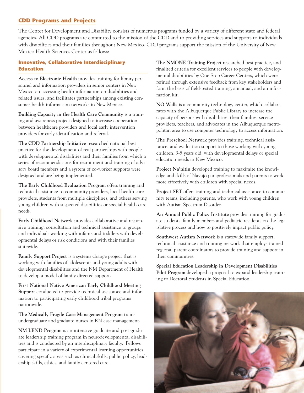### **CDD Programs and Projects**

The Center for Development and Disability consists of numerous programs funded by a variety of different state and federal agencies. All CDD programs are committed to the mission of the CDD and to providing services and supports to individuals with disabilities and their families throughout New Mexico. CDD programs support the mission of the University of New Mexico Health Sciences Center as follows:

#### **Innovative, Collaborative Interdisciplinary Education**

**Access to Electronic Health** provides training for library personnel and information providers in senior centers in New Mexico on accessing health information on disabilities and related issues, and facilitates partnerships among existing consumer health information networks in New Mexico.

**Building Capacity in the Health Care Community** is a training and awareness project designed to increase cooperation between healthcare providers and local early intervention providers for early identification and referral.

**The CDD Partnership Initiative** researched national best practice for the development of real partnerships with people with developmental disabilities and their families from which a series of recommendations for recruitment and training of advisory board members and a system of co-worker supports were designed and are being implemented.

**The Early Childhood Evaluation Program** offers training and technical assistance to community providers, local health care providers, students from multiple disciplines, and others serving young children with suspected disabilities or special health care needs.

**Early Childhood Network** provides collaborative and responsive training, consultation and technical assistance to groups and individuals working with infants and toddlers with developmental delays or risk conditions and with their families statewide.

**Family Support Project** is a systems change project that is working with families of adolescents and young adults with developmental disabilities and the NM Department of Health to develop a model of family directed support.

**First National Native American Early Childhood Meeting Support** conducted to provide technical assistance and information to participating early childhood tribal programs nationwide.

**The Medically Fragile Case Management Program** trains undergraduate and graduate nurses in RN case management.

**NM LEND Program** is an intensive graduate and post-graduate leadership training program in neurodevelopmental disabilities and is conducted by an interdisciplinary faculty. Fellows participate in a variety of experimental learning opportunities covering specific areas such as clinical skills, public policy, leadership skills, ethics, and family centered care.

**The NMONE Training Project** researched best practice, and finalized criteria for excellent services to people with developmental disabilities by One Stop Career Centers, which were refined through extensive feedback from key stakeholders and form the basis of field-tested training, a manual, and an information kit.

**NO Walls** is a community technology center, which collaborates with the Albuquerque Public Library to increase the capacity of persons with disabilities, their families, service providers, teachers, and advocates in the Albuquerque metropolitan area to use computer technology to access information.

**The Preschool Network** provides training, technical assistance, and evaluation support to those working with young children, 3-5 years old, with developmental delays or special education needs in New Mexico.

**Project Na'nitin** developed training to maximize the knowledge and skills of Navajo paraprofessionals and parents to work more effectively with children with special needs.

**Project SET** offers training and technical assistance to community teams, including parents, who work with young children with Autism Spectrum Disorder.

**An Annual Public Policy Institute** provides training for graduate students, family members and pediatric residents on the legislative process and how to positively impact public policy.

**Southwest Autism Network** is a statewide family support, technical assistance and training network that employs trained regional parent coordinators to provide training and support in their communities.

**Special Education Leadership in Development Disabilities Pilot Program** developed a proposal to expand leadership training to Doctoral Students in Special Education.

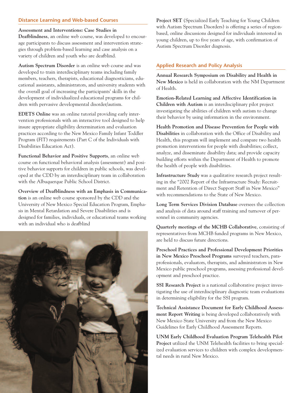#### **Distance Learning and Web-based Courses**

#### **Assessment and Interventions: Case Studies in**

**Deafblindness**, an online web course, was developed to encourage participants to discuss assessment and intervention strategies through problem-based learning and case analysis on a variety of children and youth who are deafblind.

**Autism Spectrum Disorder** is an online web course and was developed to train interdisciplinary teams including family members, teachers, therapists, educational diagnosticians, educational assistants, administrators, and university students with the overall goal of increasing the participants' skills in the development of individualized educational programs for children with pervasive developmental disorder/autism.

**EDETS Online** was an online tutorial providing early intervention professionals with an interactive tool designed to help insure appropriate eligibility determination and evaluation practices according to the New Mexico Family Infant Toddler Program (FIT) requirements (Part C of the Individuals with Disabilities Education Act).

**Functional Behavior and Positive Supports**, an online web course on functional behavioral analysis (assessment) and positive behavior supports for children in public schools, was developed at the CDD by an interdisciplinary team in collaboration with the Albuquerque Public School District.

**Overview of Deafblindness with an Emphasis in Communication** is an online web course sponsored by the CDD and the University of New Mexico Special Education Program, Emphasis in Mental Retardation and Severe Disabilities and is designed for families, individuals, or educational teams working with an individual who is deafblind



**Project SET** (Specialized Early Teaching for Young Children with Autism Spectrum Disorders) is offering a series of regionbased, online discussions designed for individuals interested in young children, up to five years of age, with confirmation of Autism Spectrum Disorder diagnosis.

#### **Applied Research and Policy Analysis**

**Annual Research Symposium on Disability and Health in New Mexico** is held in collaboration with the NM Department of Health.

**Emotion-Related Learning and Affective Identification in Children with Autism** is an interdisciplinary pilot project investigating the abilities of children with autism to change their behavior by using information in the environment.

**Health Promotion and Disease Prevention for People with Disabilities** in collaboration with the Office of Disability and Health, this program will implement and compare two health promotion interventions for people with disabilities; collect, analyze, and disseminate disability data; and provide capacity building efforts within the Department of Health to promote the health of people with disabilities.

**Infrastructure Study** was a qualitative research project resulting in the "2002 Report of the Infrastructure Study: Recruitment and Retention of Direct Support Staff in New Mexico" with recommendations to the State of New Mexico.

**Long Term Services Division Database** oversees the collection and analysis of data around staff training and turnover of personnel in community agencies.

**Quarterly meetings of the MCHB Collaborative**, consisting of representatives from MCHB funded programs in New Mexico, are held to discuss future directions.

**Preschool Practices and Professional Development Priorities in New Mexico Preschool Programs** surveyed teachers, paraprofessionals, evaluators, therapists, and administrators in New Mexico public preschool programs, assessing professional development and preschool practice.

**SSI Research Project** is a national collaborative project investigating the use of interdisciplinary diagnostic team evaluations in determining eligibility for the SSI program.

**Technical Assistance Document for Early Childhood Assessment Report Writing** is being developed collaboratively with New Mexico State University and from the New Mexico Guidelines for Early Childhood Assessment Reports.

**UNM Early Childhood Evaluation Program Telehealth Pilot Project** utilized the UNM Telehealth facilities to bring specialized evaluation services to children with complex developmental needs in rural New Mexico.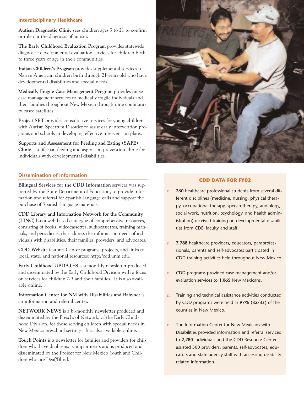#### **Interdisciplinary Healthcare**

**Autism Diagnostic Clinic** sees children ages 3 to 21 to confirm or rule out the diagnosis of autism.

**The Early Childhood Evaluation Program** provides statewide diagnostic developmental evaluation services for children birth to three years of age in their communities.

**Indian Children's Program** provides supplemental services to Native American children birth through 21 years old who have developmental disabilities and special needs.

**Medically Fragile Case Management Program** provides nurse case management services to medically fragile individuals and their families throughout New Mexico through nine community based satellites.

**Project SET** provides consultative services for young children with Autism Spectrum Disorder to assist early intervention programs and schools in developing effective intervention plans.

**Supports and Assessment for Feeding and Eating (SAFE) Clinic** is a lifespan feeding and aspiration prevention clinic for individuals with developmental disabilities.

#### **Dissemination of Information**

**Bilingual Services for the CDD Information** services was supported by the State Department of Education, to provide information and referral for Spanish-language calls and support the purchase of Spanish-language materials.

**CDD Library and Information Network for the Community (LINC)** has a web-based catalogue of comprehensive resources, consisting of books, videocassettes, audiocassettes, training manuals, and periodicals, that address the information needs of individuals with disabilities, their families, providers, and advocates.

**CDD Website** features Center programs, projects, and links to local, state, and national resources: http://cdd.unm.edu.

**Early Childhood UPDATES** is a monthly newsletter produced and disseminated by the Early Childhood Division with a focus on services for children 0-3 and their families. It is also available online.

**Information Center for NM with Disabilities and Babynet** is an information and referral center.

**NETWORK NEWS** is a bi-monthly newsletter produced and disseminated by the Preschool Network, of the Early Childhood Division, for those serving children with special needs in New Mexico preschool settings. It is also available online.

**Touch Points** is a newsletter for families and providers for children who have dual sensory impairments and is produced and disseminated by the Project for New Mexico Youth and Children who are Deaf/Blind.



#### **CDD DATA FOR FY02**

- n **260** healthcare professional students from several different disciplines (medicine, nursing, physical therapy, occupational therapy, speech therapy, audiology, social work, nutrition, psychology, and health administration) received training on developmental disabilities from CDD faculty and staff.
- n **7,788** healthcare providers, educators, paraprofessionals, parents and self-advocates participated in CDD training activities held throughout New Mexico.
- n CDD programs provided case management and/or evaluation services to **1,065** New Mexicans.
- n Training and technical assistance activities conducted by CDD programs were held in **97% (32/33)** of the counties in New Mexico.
- n The Information Center for New Mexicans with Disabilities provided information and referral services to **2,280** individuals and the CDD Resource Center assisted 500 providers, parents, self-advocates, educators and state agency staff with accessing disability related information.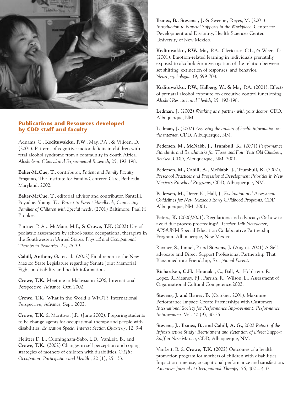

#### **Publications and Resources developed by CDD staff and faculty**

Adnams, C., **Kodituwakku, P.W**., May, P.A., & Viljoen, D. (2001). Patterns of cognitive-motor deficits in children with fetal alcohol syndrome from a community in South Africa. *Alcoholism: Clinical and Experimental Research*, 25, 192-198.

**Baker-McCue, T.**, contributor, *Patient and Family Faculty Programs*, The Institute for Family-Centered Care, Bethesda, Maryland, 2002.

**Baker-McCue, T.**, editorial advisor and contributor, Santelli, Poyadue, Young, *The Parent to Parent Handbook, Connecting Families of Children with Special needs*, (2001) Baltimore: Paul H Brookes.

Burtner, P. A ., McMain, M.P., & **Crowe, T.K.** (2002) Use of pediatric assessments by school-based occupational therapists in the Southwestern United States. *Physical and Occupational Therapy in Pediatrics*, 22, 25-39.

**Cahill, Anthony G.**, et. al., (2002) Final report to the New Mexico State Legislature regarding Senate Joint Memorial Eight on disability and health information.

**Crowe, T.K.**, Meet me in Malaysia in 2006, International Perspective, *Advance*, Oct. 2002.

**Crowe, T.K.**, What in the World is WFOT?, International Perspective, *Advance*, Sept. 2002.

**Crowe, T.K.** & Montoya, J.R. (June 2002). Preparing students to be change agents for occupational therapy and people with disabilities. *Education Special Interest Section Quarterly*, 12, 3-4.

Helitzer D. L., Cunningham-Sabo, L.D., VanLeit, B., and **Crowe, T.K.**, (2002) Changes in self perception and coping strategies of mothers of children with disabilities. *OTJR: Occupation, Participation and Health* , 22 (1), 25 –33.

**Ibanez, B., Stevens , J.** & Sweeney-Reyes, M. (2001) *Introduction to Natural Supports in the Workplace*, Center for Development and Disability, Health Sciences Center, University of New Mexico.

**Kodituwakku, P.W.**, May, P.A., Clericuzio, C.L., & Weers, D. (2001). Emotion-related learning in individuals prenatally exposed to alcohol: An investigation of the relation between set shifting, extinction of responses, and behavior. *Neuropsychologia*, 39, 699-708.

**Kodituwakku, P.W., Kalberg, W.**, & May, P.A. (2001). Effects of prenatal alcohol exposure on executive control functioning. *Alcohol Research and Health*, 25, 192-198.

**Ledman, J.** (2002) *Working as a partner with your doctor*. CDD, Albuquerque, NM.

**Ledman, J.** (2002) *Assessing the quality of health information on the internet*. CDD, Albuquerque, NM.

**Pedersen, M., McNabb, J., Trumbull, K.**, (2001) *Performance Standards and Benchmarks for Three and Four Year Old Children, Revised*, CDD, Albuquerque, NM, 2001.

**Pedersen, M., Cahill, A., McNabb, J., Trumbull, K.** (2002), *Preschool Practices and Professional Development Priorities in New Mexico's Preschool Programs*, CDD, Albuquerque, NM.

**Pedersen, M.**, Derer, K., Hall, J., *Evaluation and Assessment Guidelines for New Mexico's Early Childhood Programs*, CDD, Albuquerque, NM, 2001.

Peters, K. (2000/2001). Regulations and advocacy: Or how to avoid due process proceedings!, *Teacher Talk Newsletter*, APS/UNM Special Education Collaborative Partnership Program, Albuquerque, New Mexico.

Raymer, S., Immel, P and **Stevens, J.** (August, 2001) A Selfadvocate and Direct Support Professional Partnership That Blossomed into Friendship, *Exceptional Parent*.

**Richardson, C.H.**, Hiranaka, C., Ball, A., Hohlstein, R., Lopez, R.,Meaney, F.J., Parrish, R., Wilson, L., Assessment of Organizational Cultural Competence,2002.

**Stevens, J. and Ibanez, B.** (October, 2001). Maximize Performance Impact: Create Partnerships with Customers, *International Society for Performance Improvement: Performance Improvement*. Vol. 40 (9), 30-35.

**Stevens, J., Ibanez, B., and Cahill, A. G.**, 2002 *Report of the Infrastructure Study: Recruitment and Retention of Direct Support Staff in New Mexico*, CDD, Albuquerque, NM.

VanLeit, B. & **Crowe, T.K.** (2002) Outcomes of a health promotion program for mothers of children with disabilities: Impact on time use, occupational performance and satisfaction. *American Journal of Occupational Therapy*, 56, 402 – 410.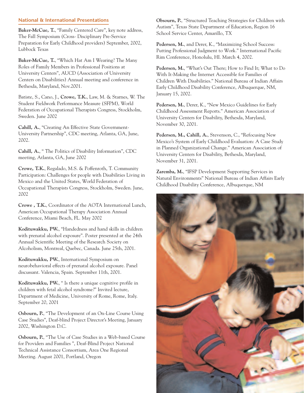#### **National & International Presentations**

**Baker-McCue, T.**, "Family Centered Care", key note address, The Fall Symposium (Cross- Disciplinary Pre-Service Preparation for Early Childhood providers) September, 2002, Lubbock Texas

**Baker-McCue, T.**, "Which Hat Am I Wearing? The Many Roles of Family Members in Professional Positions at University Centers", AUCD (Association of University Centers on Disabilities) Annual meeting and conference in Bethesda, Maryland, Nov.2001.

Batiste, S., Cano, J., **Crowe, T.K.**, Law, M. & Starnes, W. The Student Fieldwork Performance Measure (SFPM), World Federation of Occupational Therapists Congress, Stockholm, Sweden. June 2002

**Cahill, A.**, "Creating An Effective State Government-University Partnership", CDC meeting, Atlanta, GA, June, 2002.

**Cahill, A.**, " The Politics of Disability Information", CDC meeting, Atlanta, GA, June 2002

**Crowe, T.K.**, Regalado, M.S. & Poffenroth, T. Community Participation: Challenges for people with Disabilities Living in Mexico and the United States, World Federation of Occupational Therapists Congress, Stockholm, Sweden. June, 2002

**Crowe , T.K.**, Coordinator of the AOTA International Lunch, American Occupational Therapy Association Annual Conference, Miami Beach, FL. May 2002

**Kodituwakku, PW.**, "Handedness and hand skills in children with prenatal alcohol exposure". Poster presented at the 24th Annual Scientific Meeting of the Research Society on Alcoholism, Montreal, Quebec, Canada. June 25th, 2001.

**Kodituwakku, PW.**, International Symposium on neurobehavioral effects of prenatal alcohol exposure. Panel discussant. Valencia, Spain. September 11th, 2001.

**Kodituwakku, PW.**, " Is there a unique cognitive profile in children with fetal alcohol syndrome?" Invited lecture, Department of Medicine, University of Rome, Rome, Italy. September 20, 2001

**Osbourn, P.**, "The Development of an On-Line Course Using Case Studies", Deaf-blind Project Director's Meeting, January 2002, Washington D.C.

**Osbourn, P.**, "The Use of Case Studies in a Web-based Course for Providers and Families ", Deaf-Blind Project National Technical Assistance Consortium, Area One Regional Meeting. August 2001, Portland, Oregon

**Obsourn, P.**, "Structured Teaching Strategies for Children with Autism", Texas State Department of Education, Region 16 School Service Center, Amarillo, TX

**Pedersen, M.**, and Derer, K., "Maximizing School Success: Putting Professional Judgment to Work." International Pacific Rim Conference, Honolulu, HI. March 4, 2002.

**Pedersen, M.**, "What's Out There; How to Find It; What to Do With It-Making the Internet Accessible for Families of Children With Disabilities." National Bureau of Indian Affairs Early Childhood Disability Conference, Albuquerque, NM, January 15, 2002.

**Pedersen, M.**, Derer, K., "New Mexico Guidelines for Early Childhood Assessment Reports." American Association of University Centers for Disability, Bethesda, Maryland, November 30, 2001.

**Pedersen, M., Cahill, A.**, Stevenson, C., "Refocusing New Mexico's System of Early Childhood Evaluation: A Case Study in Planned Organizational Change." American Association of University Centers for Disability, Bethesda, Maryland, November 31, 2001.

**Zaremba, M.**, "IFSP Development Supporting Services in Natural Environments" National Bureau of Indian Affairs Early Childhood Disability Conference, Albuquerque, NM